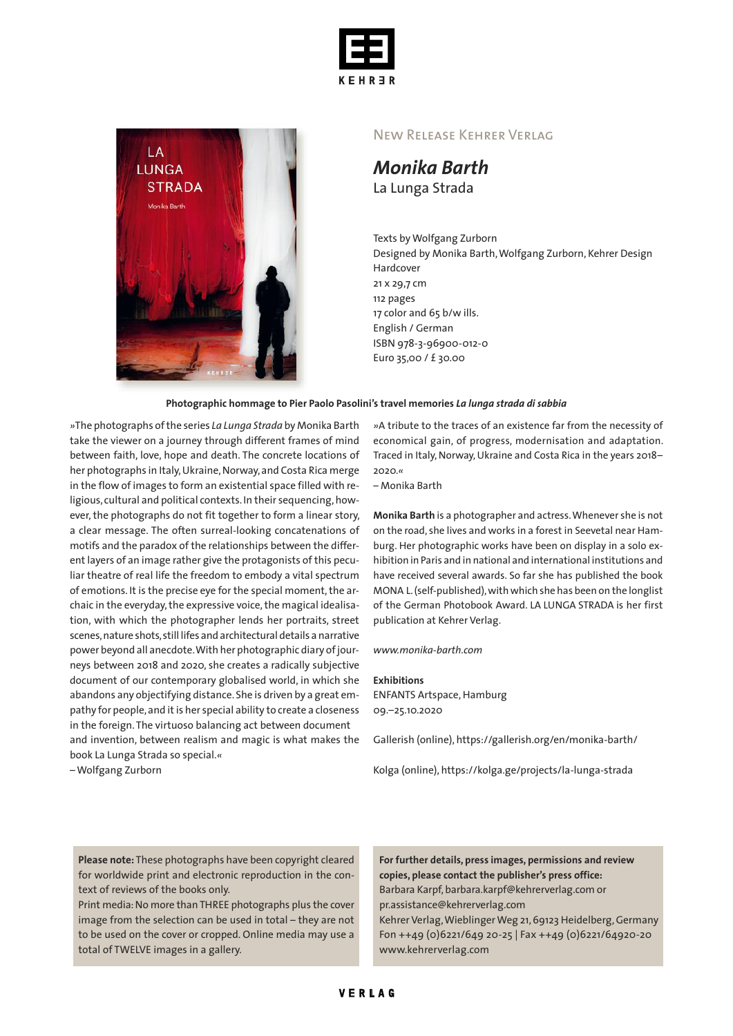



## New Release Kehrer Verlag

*Monika Barth* La Lunga Strada

Texts by Wolfgang Zurborn Designed by Monika Barth,Wolfgang Zurborn, Kehrer Design Hardcover 21 x 29,7 cm 112 pages 17 color and 65 b/w ills. English / German ISBN 978-3-96900-012-0 Euro 35,00 / £ 30.00

## **Photographic hommage to Pier Paolo Pasolini's travel memories** *La lunga strada di sabbia*

*»*The photographs ofthe series *La Lunga Strada* by Monika Barth take the viewer on a journey through different frames of mind between faith, love, hope and death. The concrete locations of her photographs in Italy, Ukraine, Norway, and Costa Rica merge in the flow of images to form an existential space filled with religious, cultural and political contexts. In their sequencing, however, the photographs do not fit together to form a linear story, a clear message. The often surreal-looking concatenations of motifs and the paradox of the relationships between the different layers of an image rather give the protagonists of this peculiar theatre of real life the freedom to embody a vital spectrum of emotions. It is the precise eye for the special moment, the archaic in the everyday, the expressive voice, the magical idealisation, with which the photographer lends her portraits, street scenes, nature shots, still lifes and architectural details a narrative power beyond all anecdote. With her photographic diary of journeys between 2018 and 2020, she creates a radically subjective document of our contemporary globalised world, in which she abandons any objectifying distance.She is driven by a great empathy for people, and it is her special ability to create a closeness in the foreign.The virtuoso balancing act between document and invention, between realism and magic is what makes the book La Lunga Strada so special.*«*

– Wolfgang Zurborn

*»*A tribute to the traces of an existence far from the necessity of economical gain, of progress, modernisation and adaptation. Traced in Italy, Norway,Ukraine and Costa Rica in the years 2018– 2020.*«*

– Monika Barth

**Monika Barth** is a photographer and actress.Whenever she is not on the road, she lives and works in a forest in Seevetal near Hamburg. Her photographic works have been on display in a solo exhibition in Paris and in national and international institutions and have received several awards. So far she has published the book MONA L.(self-published),withwhich she has been on the longlist of the German Photobook Award. LA LUNGA STRADA is her first publication at Kehrer Verlag.

*www.monika-barth.com*

**Exhibitions** ENFANTS Artspace, Hamburg 09.–25.10.2020

Gallerish (online), https://gallerish.org/en/monika-barth/

Kolga (online), https://kolga.ge/projects/la-lunga-strada

**Please note:** These photographs have been copyright cleared for worldwide print and electronic reproduction in the context of reviews of the books only.

Print media:No more thanTHREE photographs plus the cover image from the selection can be used in total – they are not to be used on the cover or cropped. Online media may use a total of TWELVE images in a gallery.

**For further details, press images, permissions and review copies, please contact the publisher's press office:** Barbara Karpf, barbara.karpf@kehrerverlag.com or

pr.assistance@kehrerverlag.com

Kehrer Verlag,WieblingerWeg 21,69123 Heidelberg,Germany Fon ++49 (0)6221/649 20-25 | Fax ++49 (0)6221/64920-20 www.kehrerverlag.com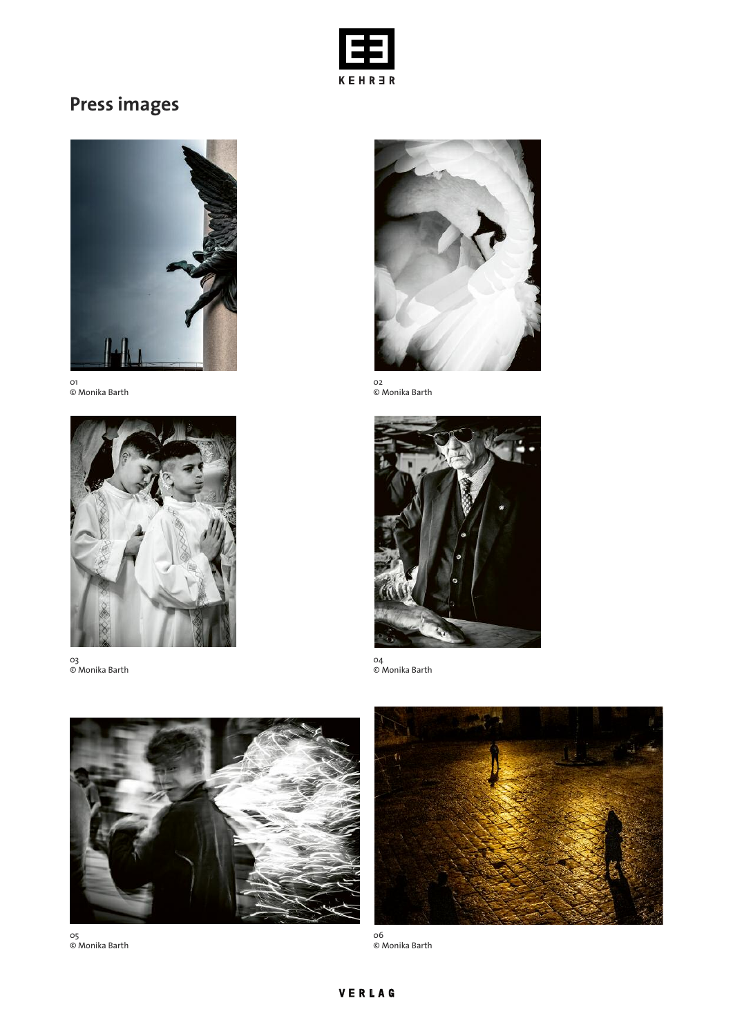

## **Press images**



01 © Monika Barth



03 © Monika Barth



02 © Monika Barth



04 © Monika Barth



05 © Monika Barth



06 © Monika Barth

## VERLAG